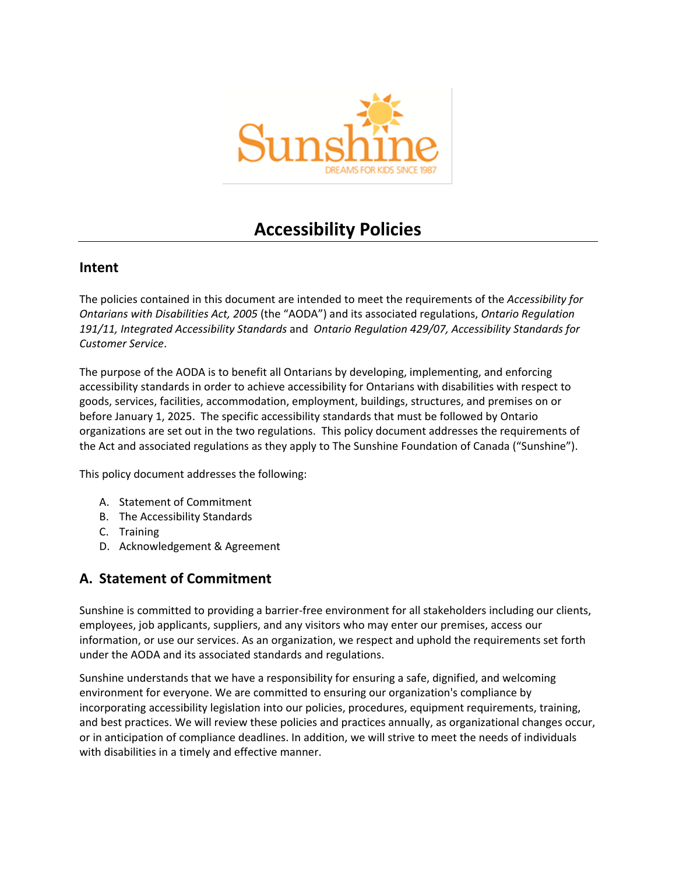

# **Accessibility Policies**

#### **Intent**

The policies contained in this document are intended to meet the requirements of the *Accessibility for Ontarians with Disabilities Act, 2005* (the "AODA") and its associated regulations, *Ontario Regulation 191/11, [Integrated Accessibility Standards](http://www.e-laws.gov.on.ca/html/regs/english/elaws_regs_110191_e.htm)* and *Ontario Regulation 429/07, Accessibility Standards for Customer Service*.

The purpose of the AODA is to benefit all Ontarians by developing, implementing, and enforcing accessibility standards in order to achieve accessibility for Ontarians with disabilities with respect to goods, services, facilities, accommodation, employment, buildings, structures, and premises on or before January 1, 2025. The specific accessibility standards that must be followed by Ontario organizations are set out in the two regulations. This policy document addresses the requirements of the Act and associated regulations as they apply to The Sunshine Foundation of Canada ("Sunshine").

This policy document addresses the following:

- A. Statement of Commitment
- B. The Accessibility Standards
- C. Training
- D. Acknowledgement & Agreement

### **A. Statement of Commitment**

Sunshine is committed to providing a barrier-free environment for all stakeholders including our clients, employees, job applicants, suppliers, and any visitors who may enter our premises, access our information, or use our services. As an organization, we respect and uphold the requirements set forth under the AODA and its associated standards and regulations.

Sunshine understands that we have a responsibility for ensuring a safe, dignified, and welcoming environment for everyone. We are committed to ensuring our organization's compliance by incorporating accessibility legislation into our policies, procedures, equipment requirements, training, and best practices. We will review these policies and practices annually, as organizational changes occur, or in anticipation of compliance deadlines. In addition, we will strive to meet the needs of individuals with disabilities in a timely and effective manner.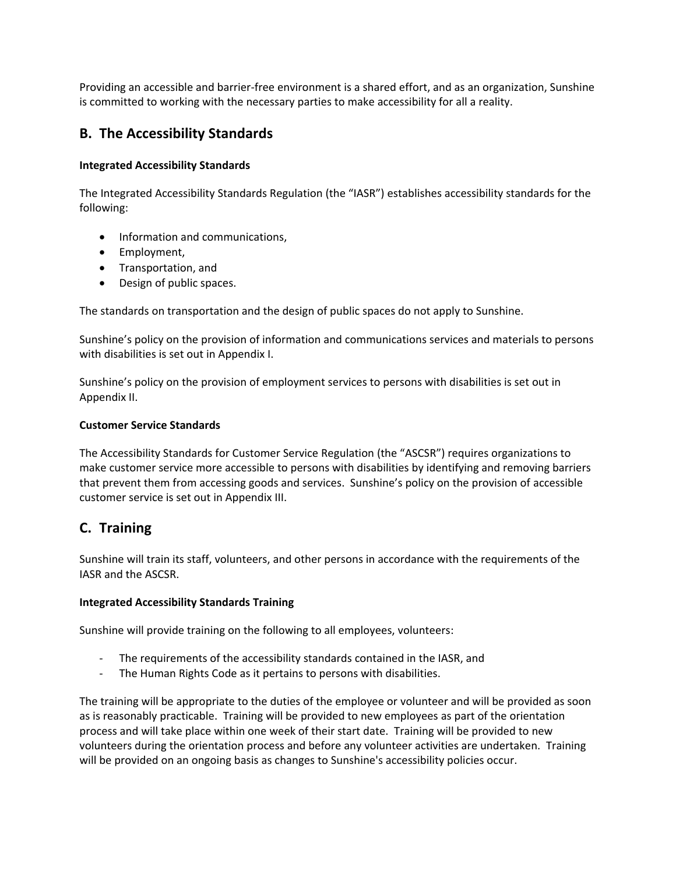Providing an accessible and barrier-free environment is a shared effort, and as an organization, Sunshine is committed to working with the necessary parties to make accessibility for all a reality.

### **B. The Accessibility Standards**

#### **Integrated Accessibility Standards**

The Integrated Accessibility Standards Regulation (the "IASR") establishes accessibility standards for the following:

- Information and communications,
- Employment,
- **•** Transportation, and
- Design of public spaces.

The standards on transportation and the design of public spaces do not apply to Sunshine.

Sunshine's policy on the provision of information and communications services and materials to persons with disabilities is set out in Appendix I.

Sunshine's policy on the provision of employment services to persons with disabilities is set out in Appendix II.

#### **Customer Service Standards**

The Accessibility Standards for Customer Service Regulation (the "ASCSR") requires organizations to make customer service more accessible to persons with disabilities by identifying and removing barriers that prevent them from accessing goods and services. Sunshine's policy on the provision of accessible customer service is set out in Appendix III.

## **C. Training**

Sunshine will train its staff, volunteers, and other persons in accordance with the requirements of the IASR and the ASCSR.

#### **Integrated Accessibility Standards Training**

Sunshine will provide training on the following to all employees, volunteers:

- The requirements of the accessibility standards contained in the IASR, and
- The Human Rights Code as it pertains to persons with disabilities.

The training will be appropriate to the duties of the employee or volunteer and will be provided as soon as is reasonably practicable. Training will be provided to new employees as part of the orientation process and will take place within one week of their start date. Training will be provided to new volunteers during the orientation process and before any volunteer activities are undertaken. Training will be provided on an ongoing basis as changes to Sunshine's accessibility policies occur.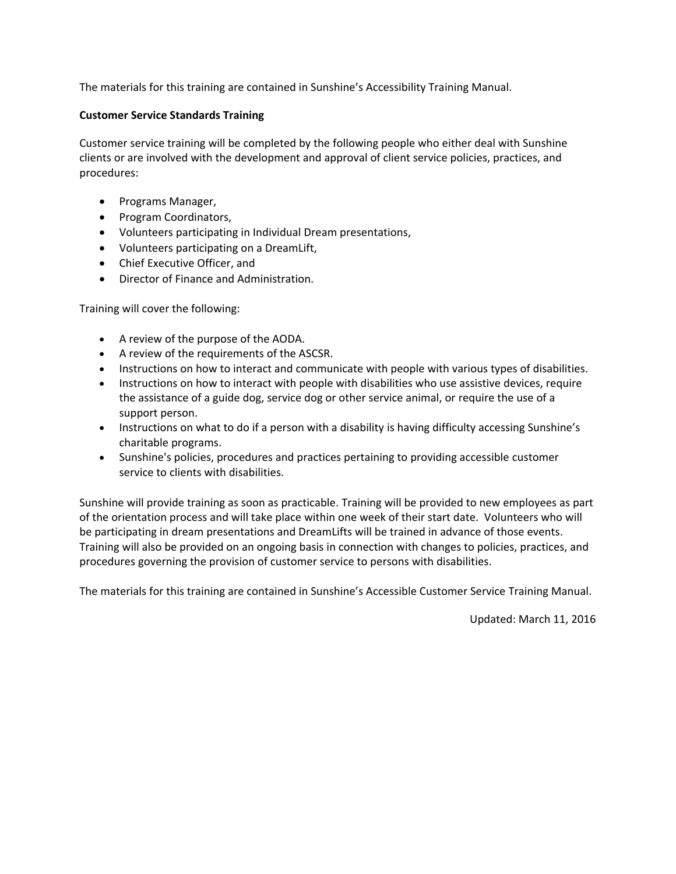The materials for this training are contained in Sunshine's Accessibility Training Manual.

#### **Customer Service Standards Training**

Customer service training will be completed by the following people who either deal with Sunshine clients or are involved with the development and approval of client service policies, practices, and procedures:

- Programs Manager,
- Program Coordinators,
- Volunteers participating in Individual Dream presentations,
- Volunteers participating on a DreamLift,
- Chief Executive Officer, and
- Director of Finance and Administration.

Training will cover the following:

- A review of the purpose of the AODA.
- A review of the requirements of the ASCSR.
- Instructions on how to interact and communicate with people with various types of disabilities.
- Instructions on how to interact with people with disabilities who use assistive devices, require the assistance of a guide dog, service dog or other service animal, or require the use of a support person.
- Instructions on what to do if a person with a disability is having difficulty accessing Sunshine's charitable programs.
- Sunshine's policies, procedures and practices pertaining to providing accessible customer service to clients with disabilities.

Sunshine will provide training as soon as practicable. Training will be provided to new employees as part of the orientation process and will take place within one week of their start date. Volunteers who will be participating in dream presentations and DreamLifts will be trained in advance of those events. Training will also be provided on an ongoing basis in connection with changes to policies, practices, and procedures governing the provision of customer service to persons with disabilities.

The materials for this training are contained in Sunshine's Accessible Customer Service Training Manual.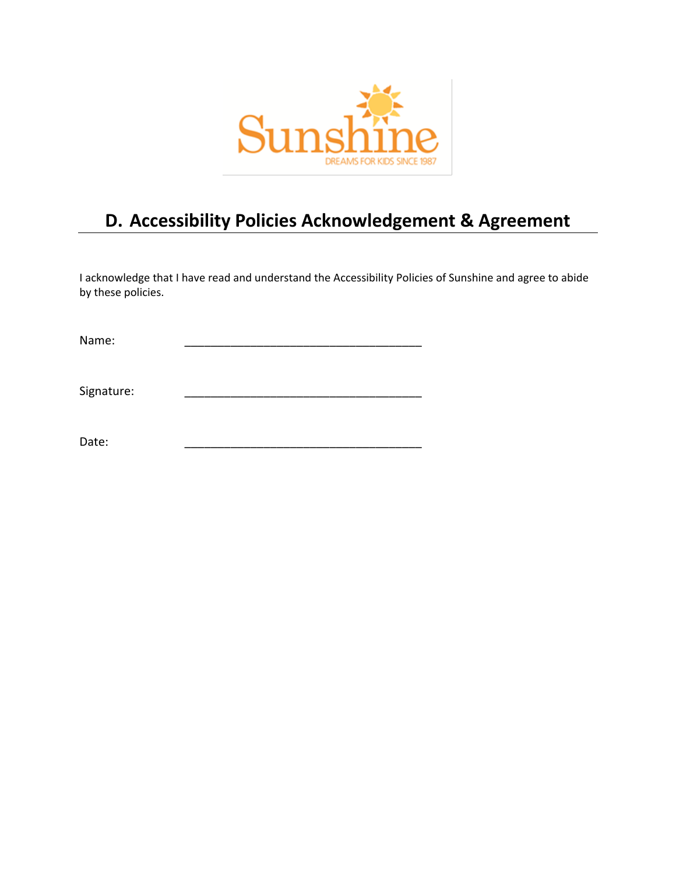

# **D. Accessibility Policies Acknowledgement & Agreement**

I acknowledge that I have read and understand the Accessibility Policies of Sunshine and agree to abide by these policies.

Name: \_\_\_\_\_\_\_\_\_\_\_\_\_\_\_\_\_\_\_\_\_\_\_\_\_\_\_\_\_\_\_\_\_\_\_\_

Signature:

Date: \_\_\_\_\_\_\_\_\_\_\_\_\_\_\_\_\_\_\_\_\_\_\_\_\_\_\_\_\_\_\_\_\_\_\_\_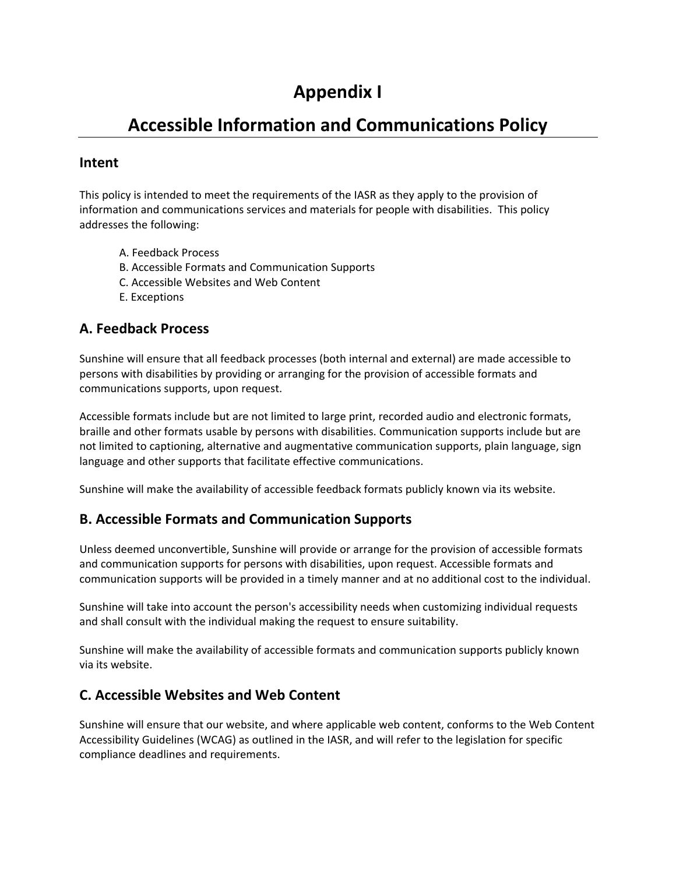# **Appendix I**

# **Accessible Information and Communications Policy**

### **Intent**

This policy is intended to meet the requirements of the IASR as they apply to the provision of information and communications services and materials for people with disabilities. This policy addresses the following:

- A. [Feedback Process](https://www.hrdownloads.com/component/search/?searchword=aoda&ordering=relevance&searchphrase=all#Feedback)
- B. [Accessible Formats and Communication Supports](https://www.hrdownloads.com/component/search/?searchword=aoda&ordering=relevance&searchphrase=all#FormatandSupport)
- C. [Accessible Websites and Web Content](https://www.hrdownloads.com/component/search/?searchword=aoda&ordering=relevance&searchphrase=all#WebsiteandWebContent)
- E. [Exceptions](https://www.hrdownloads.com/component/search/?searchword=aoda&ordering=relevance&searchphrase=all#Exceptions)

### **A. Feedback Process**

Sunshine will ensure that all feedback processes (both internal and external) are made accessible to persons with disabilities by providing or arranging for the provision of accessible formats and communications supports, upon request.

Accessible formats include but are not limited to large print, recorded audio and electronic formats, braille and other formats usable by persons with disabilities. Communication supports include but are not limited to captioning, alternative and augmentative communication supports, plain language, sign language and other supports that facilitate effective communications.

Sunshine will make the availability of accessible feedback formats publicly known via its website.

## **B. Accessible Formats and Communication Supports**

Unless deemed unconvertible, Sunshine will provide or arrange for the provision of accessible formats and communication supports for persons with disabilities, upon request. Accessible formats and communication supports will be provided in a timely manner and at no additional cost to the individual.

Sunshine will take into account the person's accessibility needs when customizing individual requests and shall consult with the individual making the request to ensure suitability.

Sunshine will make the availability of accessible formats and communication supports publicly known via its website.

### **C. Accessible Websites and Web Content**

Sunshine will ensure that our website, and where applicable web content, conforms to the Web Content Accessibility Guidelines (WCAG) as outlined in the IASR, and will refer to the legislation for specific compliance deadlines and requirements.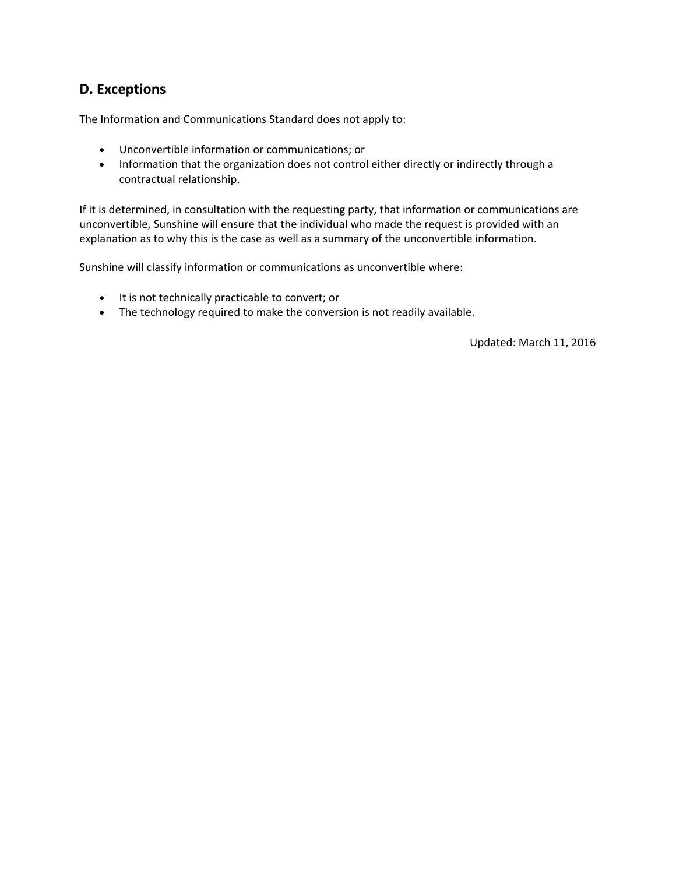### **D. Exceptions**

The Information and Communications Standard does not apply to:

- Unconvertible information or communications; or
- Information that the organization does not control either directly or indirectly through a contractual relationship.

If it is determined, in consultation with the requesting party, that information or communications are unconvertible, Sunshine will ensure that the individual who made the request is provided with an explanation as to why this is the case as well as a summary of the unconvertible information.

Sunshine will classify information or communications as unconvertible where:

- It is not technically practicable to convert; or
- The technology required to make the conversion is not readily available.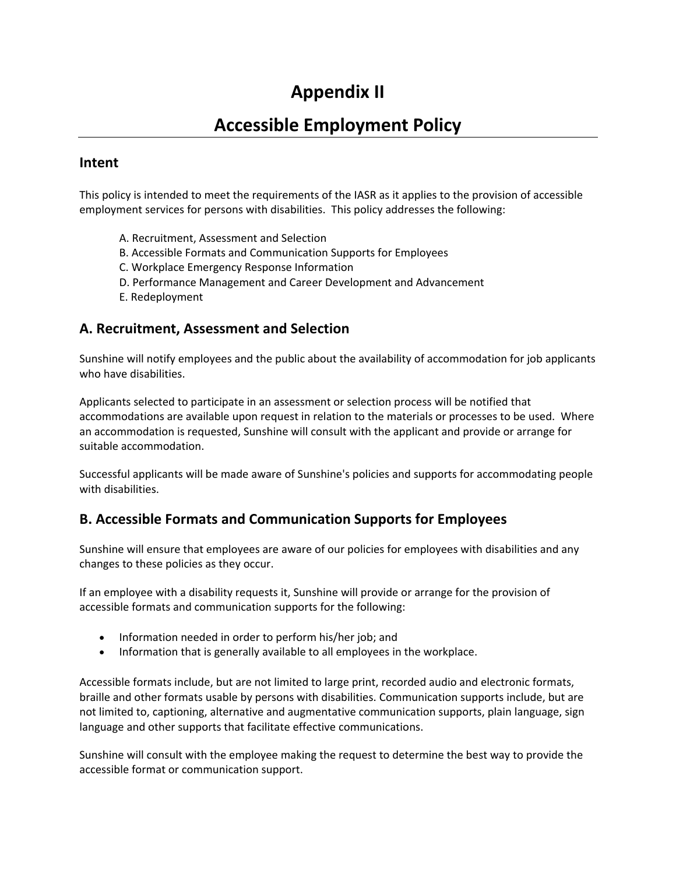# **Appendix II**

# **Accessible Employment Policy**

### **Intent**

This policy is intended to meet the requirements of the IASR as it applies to the provision of accessible employment services for persons with disabilities. This policy addresses the following:

- A. [Recruitment, Assessment and Selection](https://www.hrdownloads.com/component/search/?searchword=aoda&ordering=relevance&searchphrase=all#RecruitAssessSelect)
- B. [Accessible Formats and Communication Supports for Employees](https://www.hrdownloads.com/component/search/?searchword=aoda&ordering=relevance&searchphrase=all#AccessFormatsandCommSupp)
- C. [Workplace Emergency Response Information](https://www.hrdownloads.com/component/search/?searchword=aoda&ordering=relevance&searchphrase=all#EmergResp)
- D. [Performance Management and Career Development and Advancement](https://www.hrdownloads.com/component/search/?searchword=aoda&ordering=relevance&searchphrase=all#PerfMgmt)
- E. [Redeployment](https://www.hrdownloads.com/component/search/?searchword=aoda&ordering=relevance&searchphrase=all#Redeploy)

#### **A. Recruitment, Assessment and Selection**

Sunshine will notify employees and the public about the availability of accommodation for job applicants who have disabilities.

Applicants selected to participate in an assessment or selection process will be notified that accommodations are available upon request in relation to the materials or processes to be used. Where an accommodation is requested, Sunshine will consult with the applicant and provide or arrange for suitable accommodation.

Successful applicants will be made aware of Sunshine's policies and supports for accommodating people with disabilities.

## **B. Accessible Formats and Communication Supports for Employees**

Sunshine will ensure that employees are aware of our policies for employees with disabilities and any changes to these policies as they occur.

If an employee with a disability requests it, Sunshine will provide or arrange for the provision of accessible formats and communication supports for the following:

- Information needed in order to perform his/her job; and
- Information that is generally available to all employees in the workplace.

Accessible formats include, but are not limited to large print, recorded audio and electronic formats, braille and other formats usable by persons with disabilities. Communication supports include, but are not limited to, captioning, alternative and augmentative communication supports, plain language, sign language and other supports that facilitate effective communications.

Sunshine will consult with the employee making the request to determine the best way to provide the accessible format or communication support.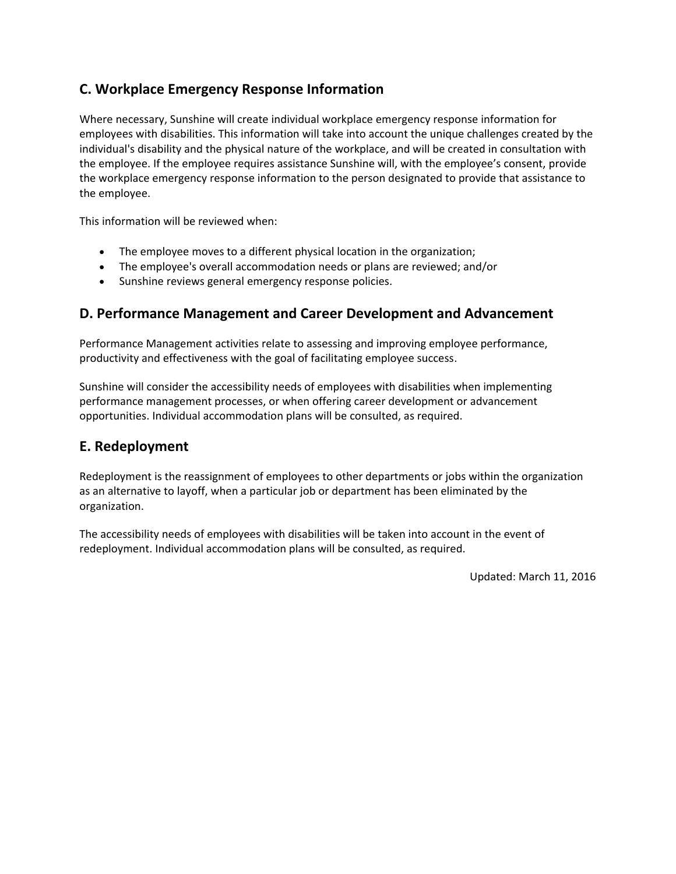## **C. Workplace Emergency Response Information**

Where necessary, Sunshine will create individual workplace emergency response information for employees with disabilities. This information will take into account the unique challenges created by the individual's disability and the physical nature of the workplace, and will be created in consultation with the employee. If the employee requires assistance Sunshine will, with the employee's consent, provide the workplace emergency response information to the person designated to provide that assistance to the employee.

This information will be reviewed when:

- The employee moves to a different physical location in the organization;
- The employee's overall accommodation needs or plans are reviewed; and/or
- Sunshine reviews general emergency response policies.

### **D. Performance Management and Career Development and Advancement**

Performance Management activities relate to assessing and improving employee performance, productivity and effectiveness with the goal of facilitating employee success.

Sunshine will consider the accessibility needs of employees with disabilities when implementing performance management processes, or when offering career development or advancement opportunities. Individual accommodation plans will be consulted, as required.

### **E. Redeployment**

Redeployment is the reassignment of employees to other departments or jobs within the organization as an alternative to layoff, when a particular job or department has been eliminated by the organization.

The accessibility needs of employees with disabilities will be taken into account in the event of redeployment. Individual accommodation plans will be consulted, as required.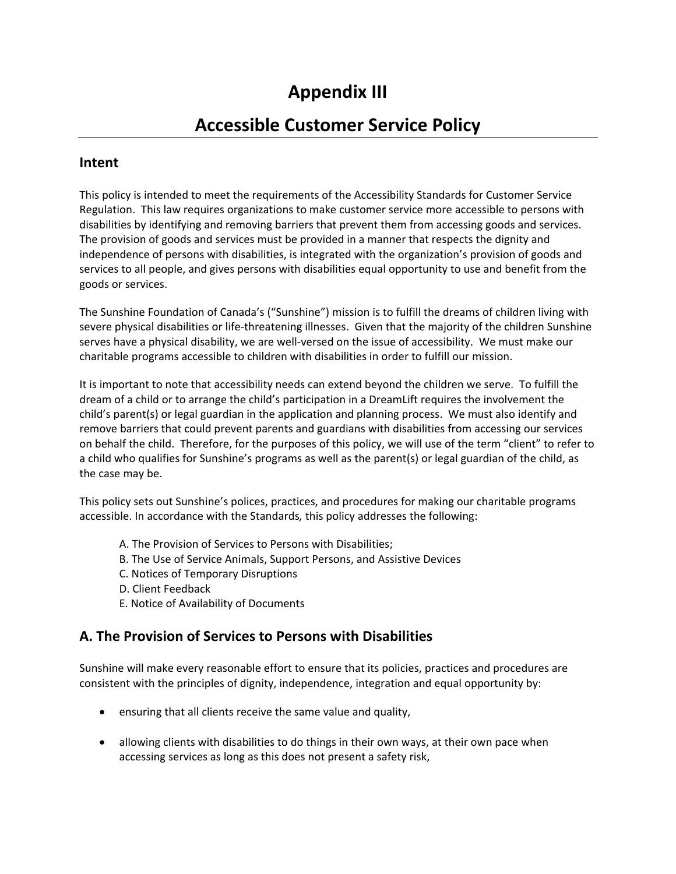# **Appendix III**

## **Accessible Customer Service Policy**

### **Intent**

This policy is intended to meet the requirements of the Accessibility Standards for Customer Service Regulation. This law requires organizations to make customer service more accessible to persons with disabilities by identifying and removing barriers that prevent them from accessing goods and services. The provision of goods and services must be provided in a manner that respects the dignity and independence of persons with disabilities, is integrated with the organization's provision of goods and services to all people, and gives persons with disabilities equal opportunity to use and benefit from the goods or services.

The Sunshine Foundation of Canada's ("Sunshine") mission is to fulfill the dreams of children living with severe physical disabilities or life-threatening illnesses. Given that the majority of the children Sunshine serves have a physical disability, we are well-versed on the issue of accessibility. We must make our charitable programs accessible to children with disabilities in order to fulfill our mission.

It is important to note that accessibility needs can extend beyond the children we serve. To fulfill the dream of a child or to arrange the child's participation in a DreamLift requires the involvement the child's parent(s) or legal guardian in the application and planning process. We must also identify and remove barriers that could prevent parents and guardians with disabilities from accessing our services on behalf the child. Therefore, for the purposes of this policy, we will use of the term "client" to refer to a child who qualifies for Sunshine's programs as well as the parent(s) or legal guardian of the child, as the case may be.

This policy sets out Sunshine's polices, practices, and procedures for making our charitable programs accessible. In accordance with the Standards*,* this policy addresses the following:

- A. The Provision of [Services to Persons with Disabilities;](https://www.hrdownloads.com/component/search/?searchword=aoda&ordering=oldest&searchphrase=all#ProvisionofGoodsandServ)
- B. [The Use of Service Animals, Support Persons, and Assistive Devices](https://www.hrdownloads.com/component/search/?searchword=aoda&ordering=oldest&searchphrase=all#UseofAssisDev)
- C. Notices of Temporary Disruptions
- D. [Client Feedback](https://www.hrdownloads.com/component/search/?searchword=aoda&ordering=oldest&searchphrase=all#CustFeed)
- E. Notice of Availability of Documents

#### **A. The Provision of Services to Persons with Disabilities**

Sunshine will make every reasonable effort to ensure that its policies, practices and procedures are consistent with the principles of dignity, independence, integration and equal opportunity by:

- ensuring that all clients receive the same value and quality,
- allowing clients with disabilities to do things in their own ways, at their own pace when accessing services as long as this does not present a safety risk,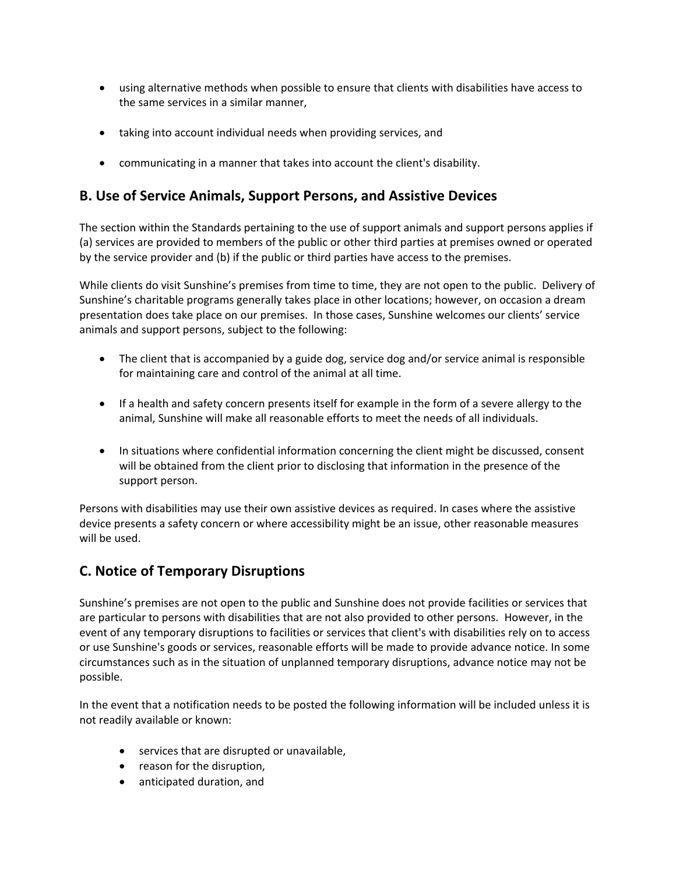- using alternative methods when possible to ensure that clients with disabilities have access to the same services in a similar manner,
- taking into account individual needs when providing services, and
- communicating in a manner that takes into account the client's disability.

### **B. Use of Service Animals, Support Persons, and Assistive Devices**

The section within the Standards pertaining to the use of support animals and support persons applies if (a) services are provided to members of the public or other third parties at premises owned or operated by the service provider and (b) if the public or third parties have access to the premises.

While clients do visit Sunshine's premises from time to time, they are not open to the public. Delivery of Sunshine's charitable programs generally takes place in other locations; however, on occasion a dream presentation does take place on our premises. In those cases, Sunshine welcomes our clients' service animals and support persons, subject to the following:

- The client that is accompanied by a guide dog, service dog and/or service animal is responsible for maintaining care and control of the animal at all time.
- If a health and safety concern presents itself for example in the form of a severe allergy to the animal, Sunshine will make all reasonable efforts to meet the needs of all individuals.
- In situations where confidential information concerning the client might be discussed, consent will be obtained from the client prior to disclosing that information in the presence of the support person.

Persons with disabilities may use their own assistive devices as required. In cases where the assistive device presents a safety concern or where accessibility might be an issue, other reasonable measures will be used.

## **C. Notice of Temporary Disruptions**

Sunshine's premises are not open to the public and Sunshine does not provide facilities or services that are particular to persons with disabilities that are not also provided to other persons. However, in the event of any temporary disruptions to facilities or services that client's with disabilities rely on to access or use Sunshine's goods or services, reasonable efforts will be made to provide advance notice. In some circumstances such as in the situation of unplanned temporary disruptions, advance notice may not be possible.

In the event that a notification needs to be posted the following information will be included unless it is not readily available or known:

- services that are disrupted or unavailable,
- reason for the disruption,
- anticipated duration, and